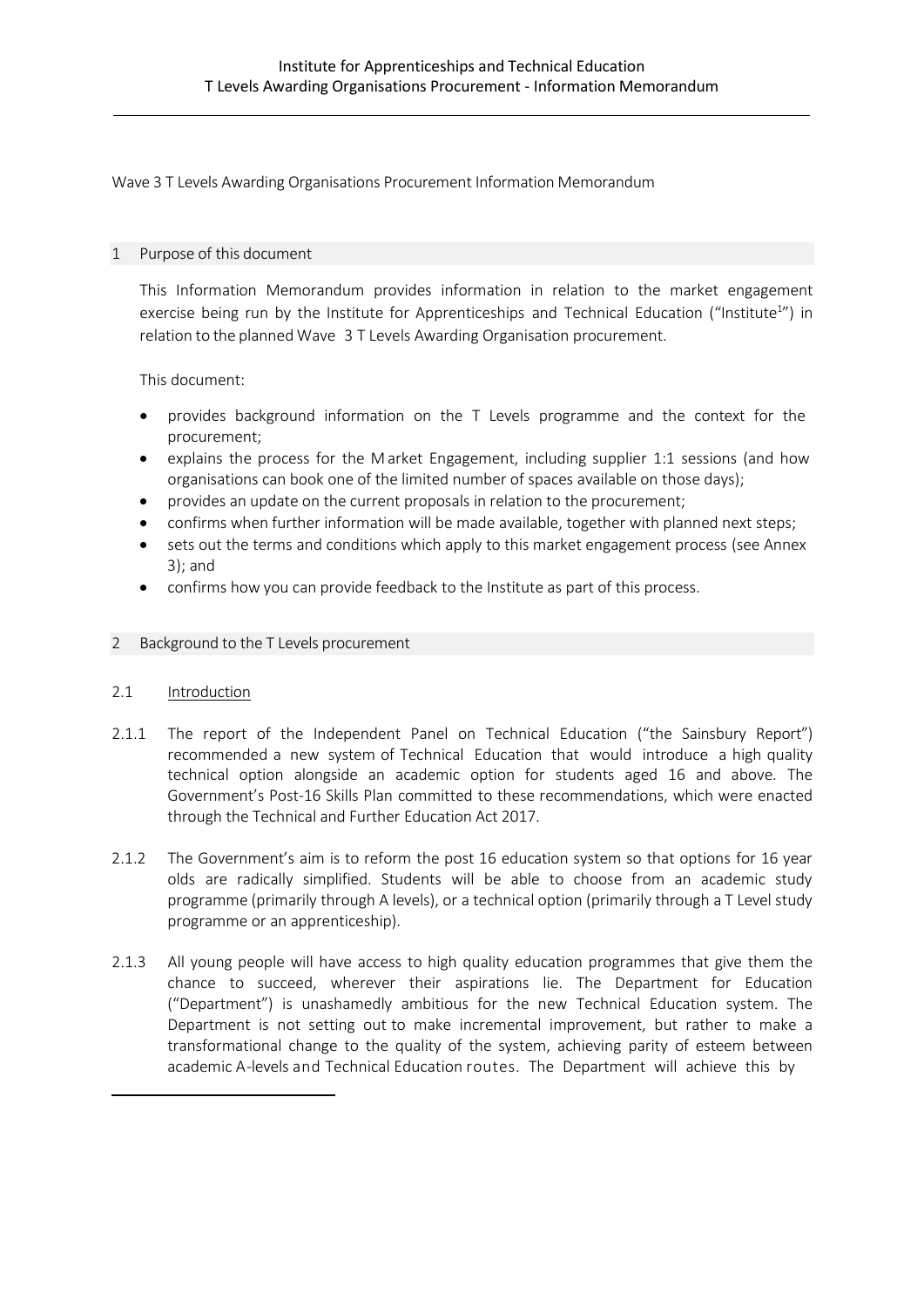Wave 3 T Levels Awarding Organisations Procurement Information Memorandum

#### 1 Purpose of this document

This Information Memorandum provides information in relation to the market engagement exercise being run by the Institute for Apprenticeships and Technical Education ("Institute<sup>1</sup>") in relation to the planned Wave 3 T Levels Awarding Organisation procurement.

This document:

- provides background information on the T Levels programme and the context for the procurement;
- explains the process for the M arket Engagement, including supplier 1:1 sessions (and how organisations can book one of the limited number of spaces available on those days);
- provides an update on the current proposals in relation to the procurement;
- confirms when further information will be made available, together with planned next steps;
- sets out the terms and conditions which apply to this market engagement process (see Annex 3); and
- confirms how you can provide feedback to the Institute as part of this process.

#### 2 Background to the T Levels procurement

#### 2.1 Introduction

- 2.1.1 The report of the Independent Panel on Technical Education ("the Sainsbury Report") recommended a new system of Technical Education that would introduce a high quality technical option alongside an academic option for students aged 16 and above. The Government's Post-16 Skills Plan committed to these recommendations, which were enacted through the Technical and Further Education Act 2017.
- 2.1.2 The Government's aim is to reform the post 16 education system so that options for 16 year olds are radically simplified. Students will be able to choose from an academic study programme (primarily through A levels), or a technical option (primarily through a T Level study programme or an apprenticeship).
- 2.1.3 All young people will have access to high quality education programmes that give them the chance to succeed, wherever their aspirations lie. The Department for Education ("Department") is unashamedly ambitious for the new Technical Education system. The Department is not setting out to make incremental improvement, but rather to make a transformational change to the quality of the system, achieving parity of esteem between academic A-levels and Technical Education routes. The Department will achieve this by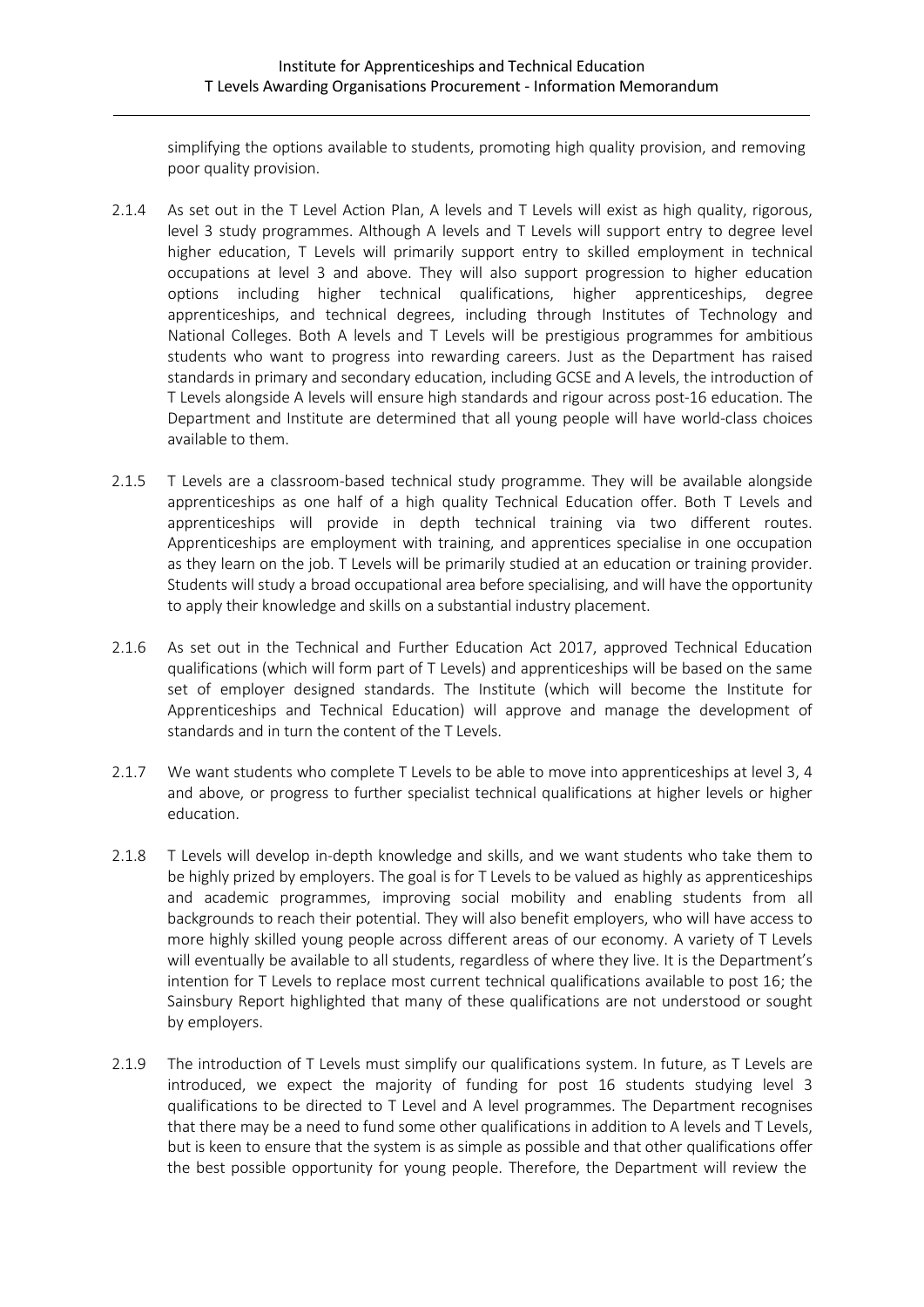simplifying the options available to students, promoting high quality provision, and removing poor quality provision.

- 2.1.4 As set out in the T Level Action Plan, A levels and T Levels will exist as high quality, rigorous, level 3 study programmes. Although A levels and T Levels will support entry to degree level higher education, T Levels will primarily support entry to skilled employment in technical occupations at level 3 and above. They will also support progression to higher education options including higher technical qualifications, higher apprenticeships, degree apprenticeships, and technical degrees, including through Institutes of Technology and National Colleges. Both A levels and T Levels will be prestigious programmes for ambitious students who want to progress into rewarding careers. Just as the Department has raised standards in primary and secondary education, including GCSE and A levels, the introduction of T Levels alongside A levels will ensure high standards and rigour across post-16 education. The Department and Institute are determined that all young people will have world-class choices available to them.
- 2.1.5 T Levels are a classroom-based technical study programme. They will be available alongside apprenticeships as one half of a high quality Technical Education offer. Both T Levels and apprenticeships will provide in depth technical training via two different routes. Apprenticeships are employment with training, and apprentices specialise in one occupation as they learn on the job. T Levels will be primarily studied at an education or training provider. Students will study a broad occupational area before specialising, and will have the opportunity to apply their knowledge and skills on a substantial industry placement.
- 2.1.6 As set out in the Technical and Further Education Act 2017, approved Technical Education qualifications (which will form part of T Levels) and apprenticeships will be based on the same set of employer designed standards. The Institute (which will become the Institute for Apprenticeships and Technical Education) will approve and manage the development of standards and in turn the content of the T Levels.
- 2.1.7 We want students who complete T Levels to be able to move into apprenticeships at level 3, 4 and above, or progress to further specialist technical qualifications at higher levels or higher education.
- 2.1.8 T Levels will develop in-depth knowledge and skills, and we want students who take them to be highly prized by employers. The goal is for T Levels to be valued as highly as apprenticeships and academic programmes, improving social mobility and enabling students from all backgrounds to reach their potential. They will also benefit employers, who will have access to more highly skilled young people across different areas of our economy. A variety of T Levels will eventually be available to all students, regardless of where they live. It is the Department's intention for T Levels to replace most current technical qualifications available to post 16; the Sainsbury Report highlighted that many of these qualifications are not understood or sought by employers.
- 2.1.9 The introduction of T Levels must simplify our qualifications system. In future, as T Levels are introduced, we expect the majority of funding for post 16 students studying level 3 qualifications to be directed to T Level and A level programmes. The Department recognises that there may be a need to fund some other qualifications in addition to A levels and T Levels, but is keen to ensure that the system is as simple as possible and that other qualifications offer the best possible opportunity for young people. Therefore, the Department will review the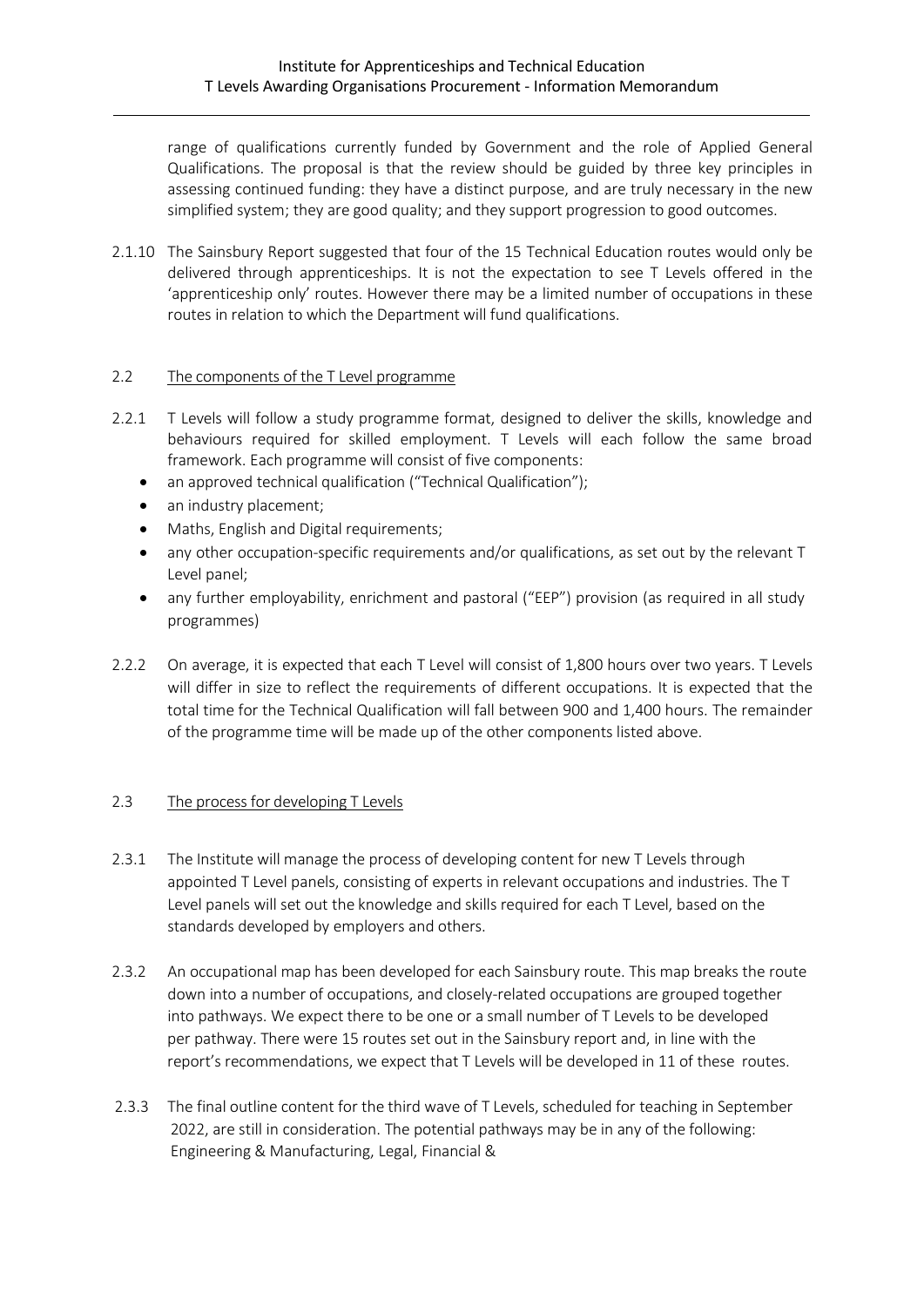range of qualifications currently funded by Government and the role of Applied General Qualifications. The proposal is that the review should be guided by three key principles in assessing continued funding: they have a distinct purpose, and are truly necessary in the new simplified system; they are good quality; and they support progression to good outcomes.

2.1.10 The Sainsbury Report suggested that four of the 15 Technical Education routes would only be delivered through apprenticeships. It is not the expectation to see T Levels offered in the 'apprenticeship only' routes. However there may be a limited number of occupations in these routes in relation to which the Department will fund qualifications.

### 2.2 The components of the T Level programme

- 2.2.1 T Levels will follow a study programme format, designed to deliver the skills, knowledge and behaviours required for skilled employment. T Levels will each follow the same broad framework. Each programme will consist of five components:
	- an approved technical qualification ("Technical Qualification");
	- an industry placement;
	- Maths, English and Digital requirements;
	- any other occupation-specific requirements and/or qualifications, as set out by the relevant T Level panel;
	- any further employability, enrichment and pastoral ("EEP") provision (as required in all study programmes)
- 2.2.2 On average, it is expected that each T Level will consist of 1,800 hours over two years. T Levels will differ in size to reflect the requirements of different occupations. It is expected that the total time for the Technical Qualification will fall between 900 and 1,400 hours. The remainder of the programme time will be made up of the other components listed above.

## 2.3 The process for developing T Levels

- 2.3.1 The Institute will manage the process of developing content for new T Levels through appointed T Level panels, consisting of experts in relevant occupations and industries. The T Level panels will set out the knowledge and skills required for each T Level, based on the standards developed by employers and others.
- 2.3.2 An occupational map has been developed for each Sainsbury route. This map breaks the route down into a number of occupations, and closely-related occupations are grouped together into pathways. We expect there to be one or a small number of T Levels to be developed per pathway. There were 15 routes set out in the Sainsbury report and, in line with the report's recommendations, we expect that T Levels will be developed in 11 of these routes.
- 2.3.3 The final outline content for the third wave of T Levels, scheduled for teaching in September 2022, are still in consideration. The potential pathways may be in any of the following: Engineering & Manufacturing, Legal, Financial &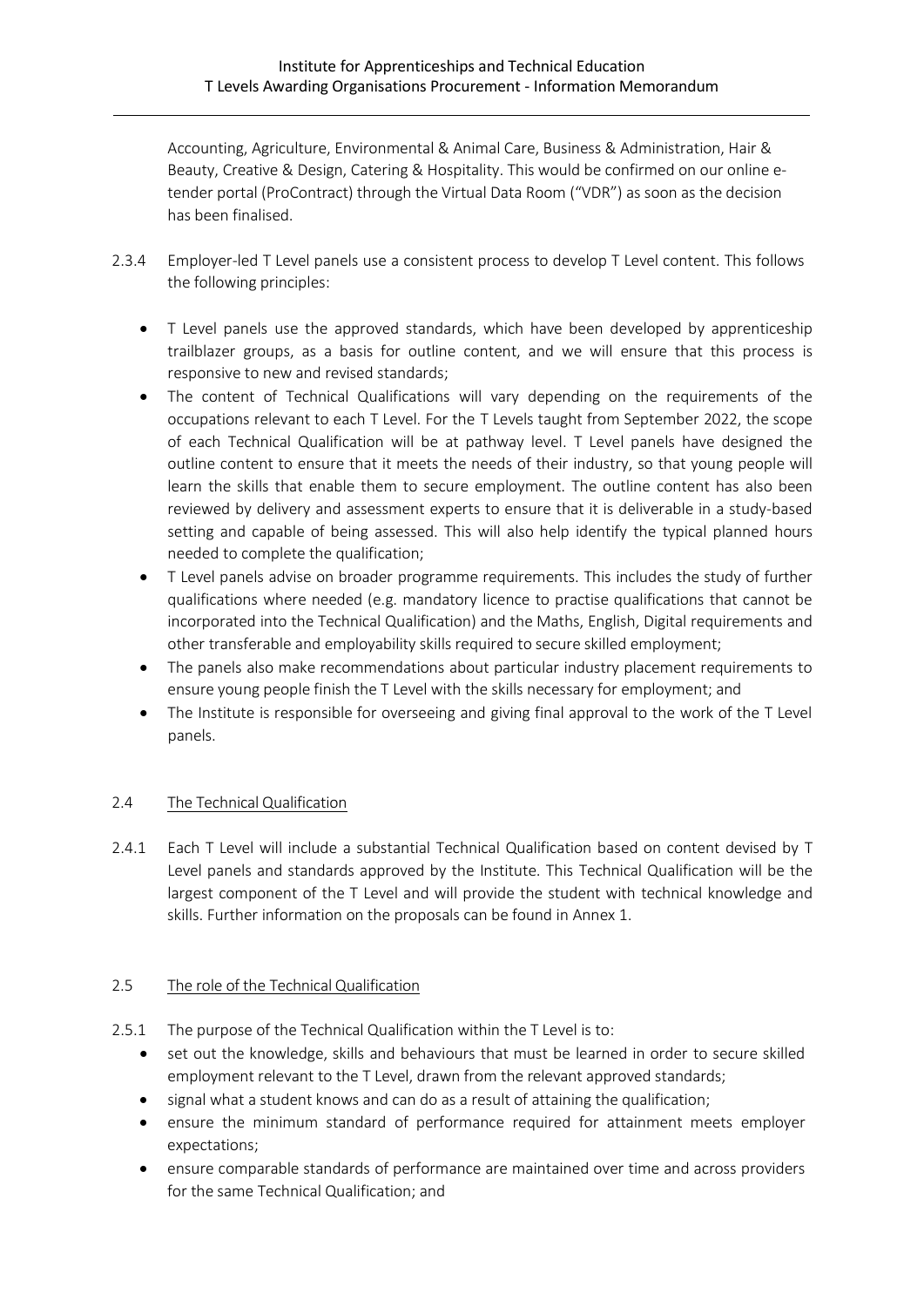Accounting, Agriculture, Environmental & Animal Care, Business & Administration, Hair & Beauty, Creative & Design, Catering & Hospitality. This would be confirmed on our online etender portal (ProContract) through the Virtual Data Room ("VDR") as soon as the decision has been finalised.

- 2.3.4 Employer-led T Level panels use a consistent process to develop T Level content. This follows the following principles:
	- T Level panels use the approved standards, which have been developed by apprenticeship trailblazer groups, as a basis for outline content, and we will ensure that this process is responsive to new and revised standards;
	- The content of Technical Qualifications will vary depending on the requirements of the occupations relevant to each T Level. For the T Levels taught from September 2022, the scope of each Technical Qualification will be at pathway level. T Level panels have designed the outline content to ensure that it meets the needs of their industry, so that young people will learn the skills that enable them to secure employment. The outline content has also been reviewed by delivery and assessment experts to ensure that it is deliverable in a study-based setting and capable of being assessed. This will also help identify the typical planned hours needed to complete the qualification;
	- T Level panels advise on broader programme requirements. This includes the study of further qualifications where needed (e.g. mandatory licence to practise qualifications that cannot be incorporated into the Technical Qualification) and the Maths, English, Digital requirements and other transferable and employability skills required to secure skilled employment;
	- The panels also make recommendations about particular industry placement requirements to ensure young people finish the T Level with the skills necessary for employment; and
	- The Institute is responsible for overseeing and giving final approval to the work of the T Level panels.

## 2.4 The Technical Qualification

2.4.1 Each T Level will include a substantial Technical Qualification based on content devised by T Level panels and standards approved by the Institute. This Technical Qualification will be the largest component of the T Level and will provide the student with technical knowledge and skills. Further information on the proposals can be found in Annex 1.

## 2.5 The role of the Technical Qualification

- 2.5.1 The purpose of the Technical Qualification within the T Level is to:
	- set out the knowledge, skills and behaviours that must be learned in order to secure skilled employment relevant to the T Level, drawn from the relevant approved standards;
	- signal what a student knows and can do as a result of attaining the qualification;
	- ensure the minimum standard of performance required for attainment meets employer expectations;
	- ensure comparable standards of performance are maintained over time and across providers for the same Technical Qualification; and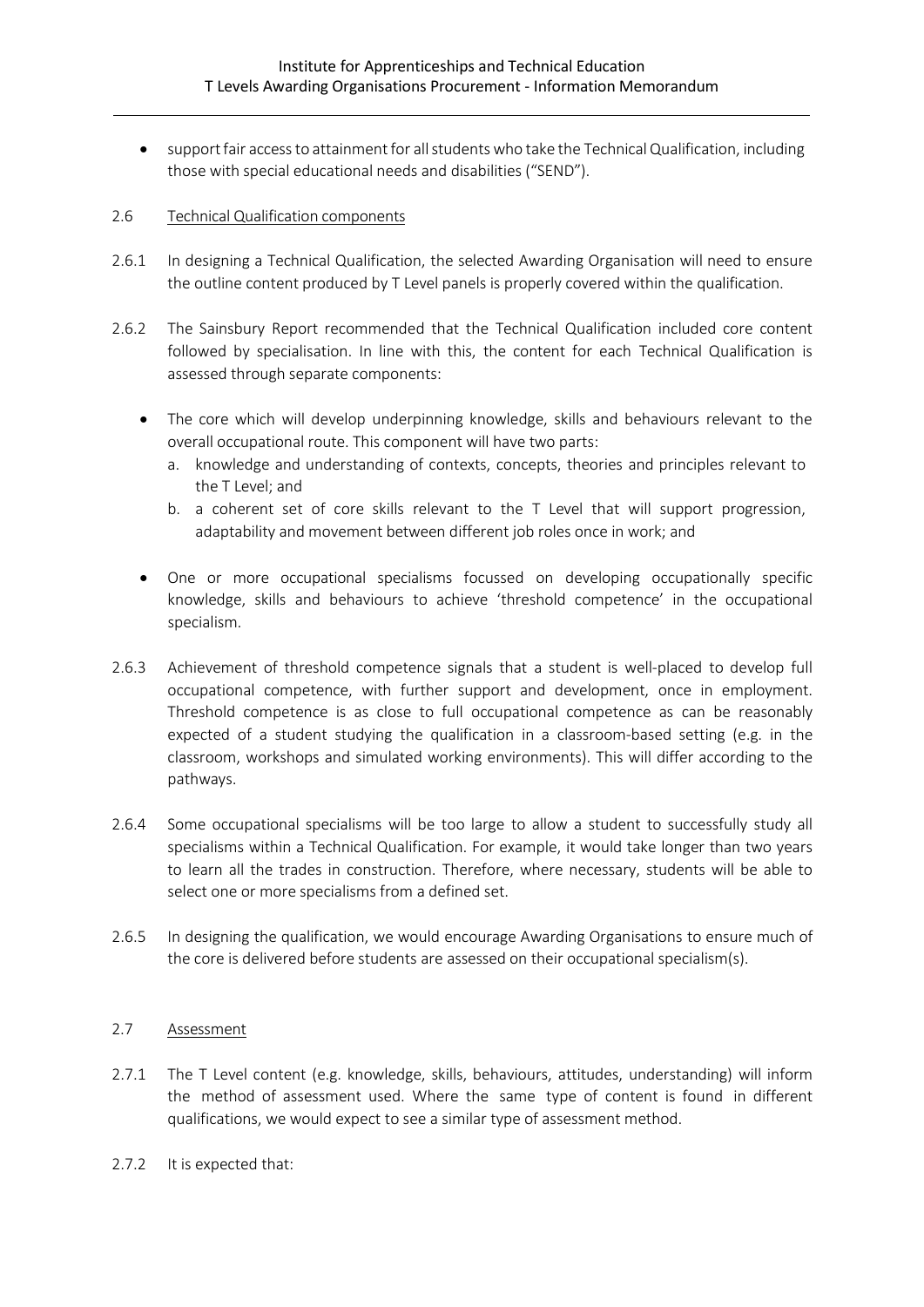• support fair access to attainment for all students who take the Technical Qualification, including those with special educational needs and disabilities ("SEND").

#### 2.6 Technical Qualification components

- 2.6.1 In designing a Technical Qualification, the selected Awarding Organisation will need to ensure the outline content produced by T Level panels is properly covered within the qualification.
- 2.6.2 The Sainsbury Report recommended that the Technical Qualification included core content followed by specialisation. In line with this, the content for each Technical Qualification is assessed through separate components:
	- The core which will develop underpinning knowledge, skills and behaviours relevant to the overall occupational route. This component will have two parts:
		- a. knowledge and understanding of contexts, concepts, theories and principles relevant to the T Level; and
		- b. a coherent set of core skills relevant to the T Level that will support progression, adaptability and movement between different job roles once in work; and
	- One or more occupational specialisms focussed on developing occupationally specific knowledge, skills and behaviours to achieve 'threshold competence' in the occupational specialism.
- 2.6.3 Achievement of threshold competence signals that a student is well-placed to develop full occupational competence, with further support and development, once in employment. Threshold competence is as close to full occupational competence as can be reasonably expected of a student studying the qualification in a classroom-based setting (e.g. in the classroom, workshops and simulated working environments). This will differ according to the pathways.
- 2.6.4 Some occupational specialisms will be too large to allow a student to successfully study all specialisms within a Technical Qualification. For example, it would take longer than two years to learn all the trades in construction. Therefore, where necessary, students will be able to select one or more specialisms from a defined set.
- 2.6.5 In designing the qualification, we would encourage Awarding Organisations to ensure much of the core is delivered before students are assessed on their occupational specialism(s).

### 2.7 Assessment

- 2.7.1 The T Level content (e.g. knowledge, skills, behaviours, attitudes, understanding) will inform the method of assessment used. Where the same type of content is found in different qualifications, we would expect to see a similar type of assessment method.
- 2.7.2 It is expected that: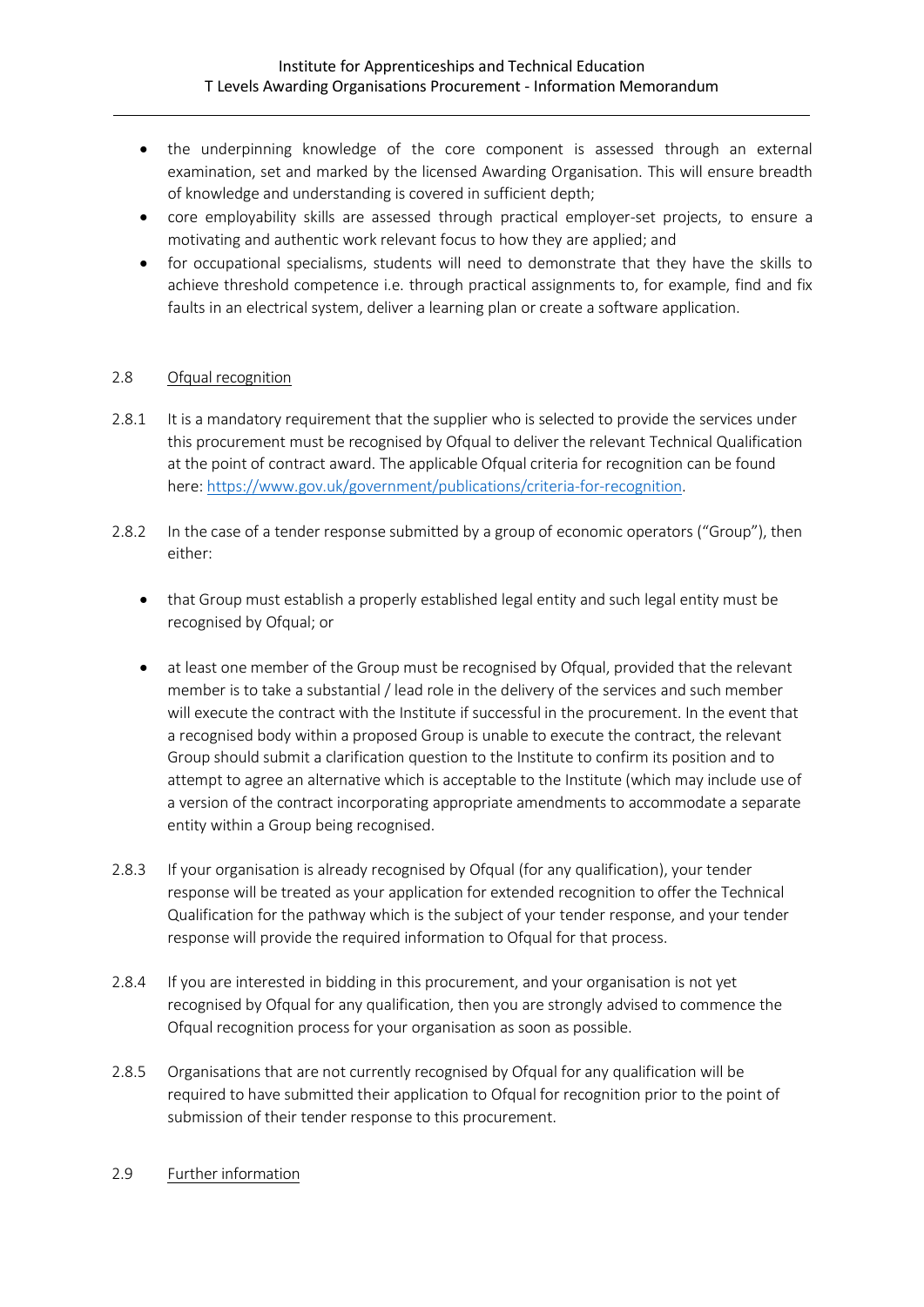- the underpinning knowledge of the core component is assessed through an external examination, set and marked by the licensed Awarding Organisation. This will ensure breadth of knowledge and understanding is covered in sufficient depth;
- core employability skills are assessed through practical employer-set projects, to ensure a motivating and authentic work relevant focus to how they are applied; and
- for occupational specialisms, students will need to demonstrate that they have the skills to achieve threshold competence i.e. through practical assignments to, for example, find and fix faults in an electrical system, deliver a learning plan or create a software application.

## 2.8 Ofqual recognition

- 2.8.1 It is a mandatory requirement that the supplier who is selected to provide the services under this procurement must be recognised by Ofqual to deliver the relevant Technical Qualification at the point of contract award. The applicable Ofqual criteria for recognition can be found here[: https://www.gov.uk/government/publications/criteria-for-recognition.](https://www.gov.uk/government/publications/criteria-for-recognition)
- 2.8.2 In the case of a tender response submitted by a group of economic operators ("Group"), then either:
	- that Group must establish a properly established legal entity and such legal entity must be recognised by Ofqual; or
	- at least one member of the Group must be recognised by Ofqual, provided that the relevant member is to take a substantial / lead role in the delivery of the services and such member will execute the contract with the Institute if successful in the procurement. In the event that a recognised body within a proposed Group is unable to execute the contract, the relevant Group should submit a clarification question to the Institute to confirm its position and to attempt to agree an alternative which is acceptable to the Institute (which may include use of a version of the contract incorporating appropriate amendments to accommodate a separate entity within a Group being recognised.
- 2.8.3 If your organisation is already recognised by Ofqual (for any qualification), your tender response will be treated as your application for extended recognition to offer the Technical Qualification for the pathway which is the subject of your tender response, and your tender response will provide the required information to Ofqual for that process.
- 2.8.4 If you are interested in bidding in this procurement, and your organisation is not yet recognised by Ofqual for any qualification, then you are strongly advised to commence the Ofqual recognition process for your organisation as soon as possible.
- 2.8.5 Organisations that are not currently recognised by Ofqual for any qualification will be required to have submitted their application to Ofqual for recognition prior to the point of submission of their tender response to this procurement.

#### 2.9 Further information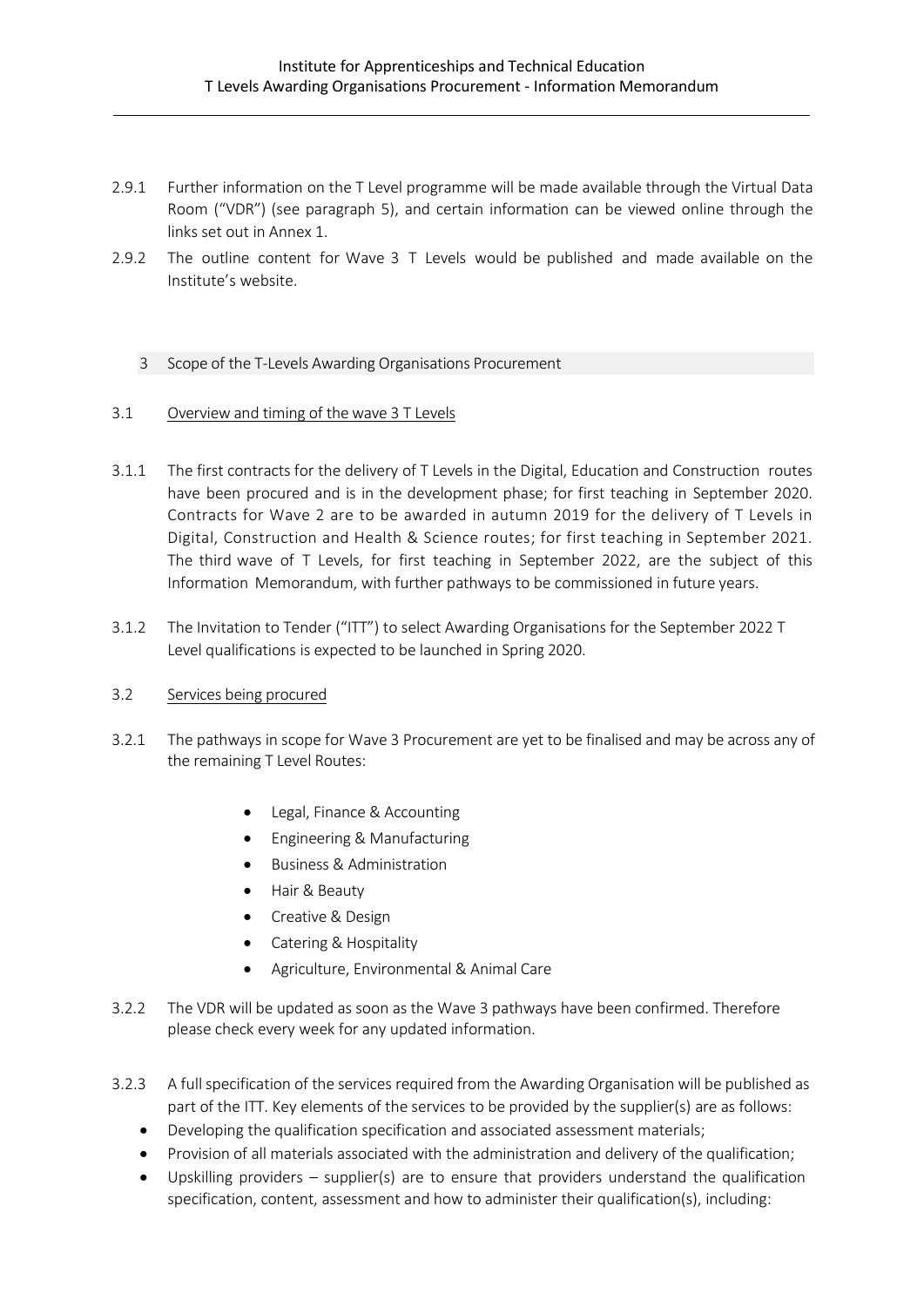- 2.9.1 Further information on the T Level programme will be made available through the Virtual Data Room ("VDR") (see paragraph 5), and certain information can be viewed online through the links set out in Annex 1.
- 2.9.2 The outline content for Wave 3 T Levels would be published and made available on the Institute's website.

### 3 Scope of the T-Levels Awarding Organisations Procurement

#### 3.1 Overview and timing of the wave 3 T Levels

- 3.1.1 The first contracts for the delivery of T Levels in the Digital, Education and Construction routes have been procured and is in the development phase; for first teaching in September 2020. Contracts for Wave 2 are to be awarded in autumn 2019 for the delivery of T Levels in Digital, Construction and Health & Science routes; for first teaching in September 2021. The third wave of T Levels, for first teaching in September 2022, are the subject of this Information Memorandum, with further pathways to be commissioned in future years.
- 3.1.2 The Invitation to Tender ("ITT") to select Awarding Organisations for the September 2022 T Level qualifications is expected to be launched in Spring 2020.

#### 3.2 Services being procured

- 3.2.1 The pathways in scope for Wave 3 Procurement are yet to be finalised and may be across any of the remaining T Level Routes:
	- Legal, Finance & Accounting
	- Engineering & Manufacturing
	- Business & Administration
	- Hair & Beauty
	- Creative & Design
	- Catering & Hospitality
	- Agriculture, Environmental & Animal Care
- 3.2.2 The VDR will be updated as soon as the Wave 3 pathways have been confirmed. Therefore please check every week for any updated information.
- 3.2.3 A fullspecification of the services required from the Awarding Organisation will be published as part of the ITT. Key elements of the services to be provided by the supplier(s) are as follows:
	- Developing the qualification specification and associated assessment materials;
	- Provision of all materials associated with the administration and delivery of the qualification;
	- Upskilling providers supplier(s) are to ensure that providers understand the qualification specification, content, assessment and how to administer their qualification(s), including: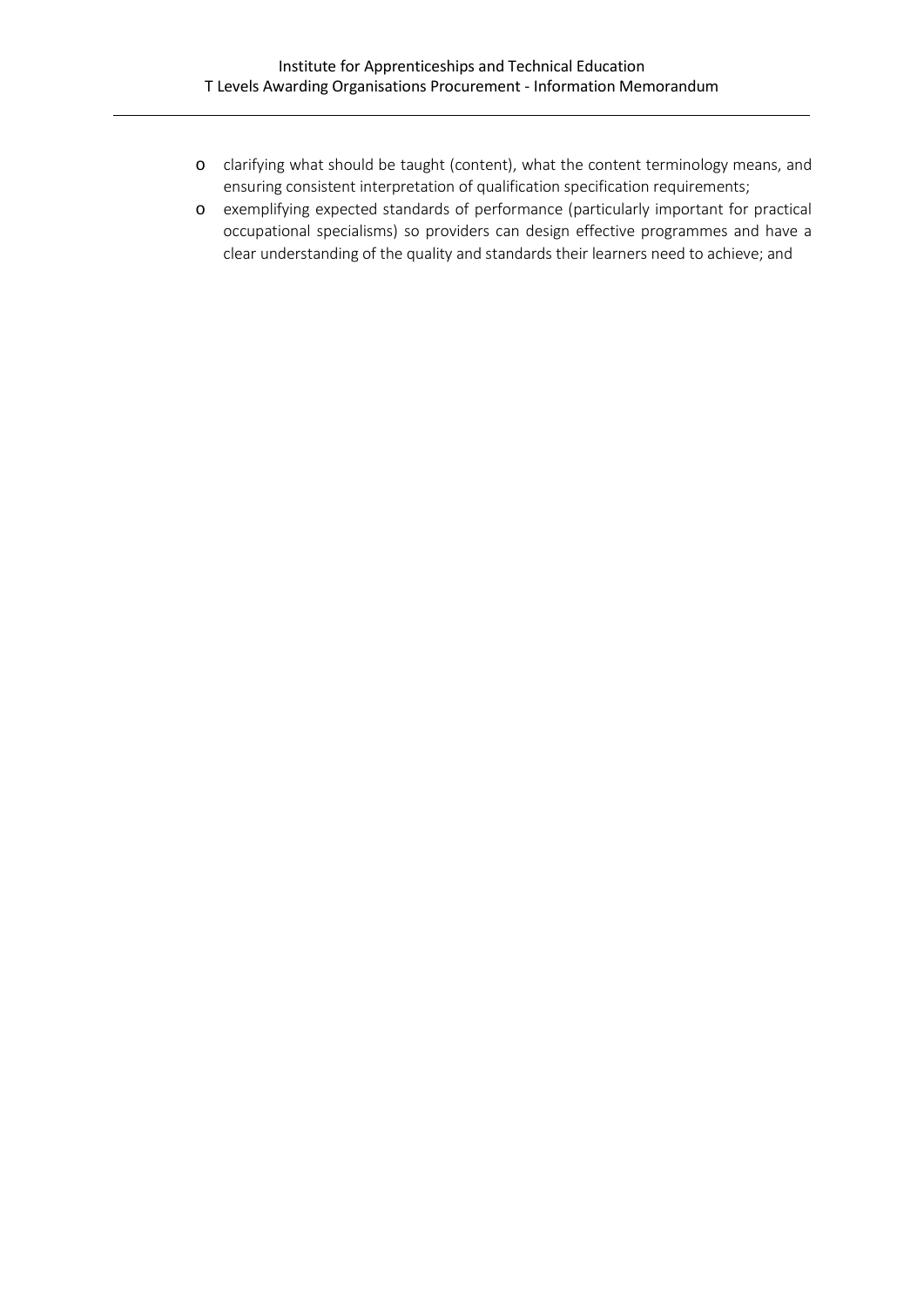- o clarifying what should be taught (content), what the content terminology means, and ensuring consistent interpretation of qualification specification requirements;
- o exemplifying expected standards of performance (particularly important for practical occupational specialisms) so providers can design effective programmes and have a clear understanding of the quality and standards their learners need to achieve; and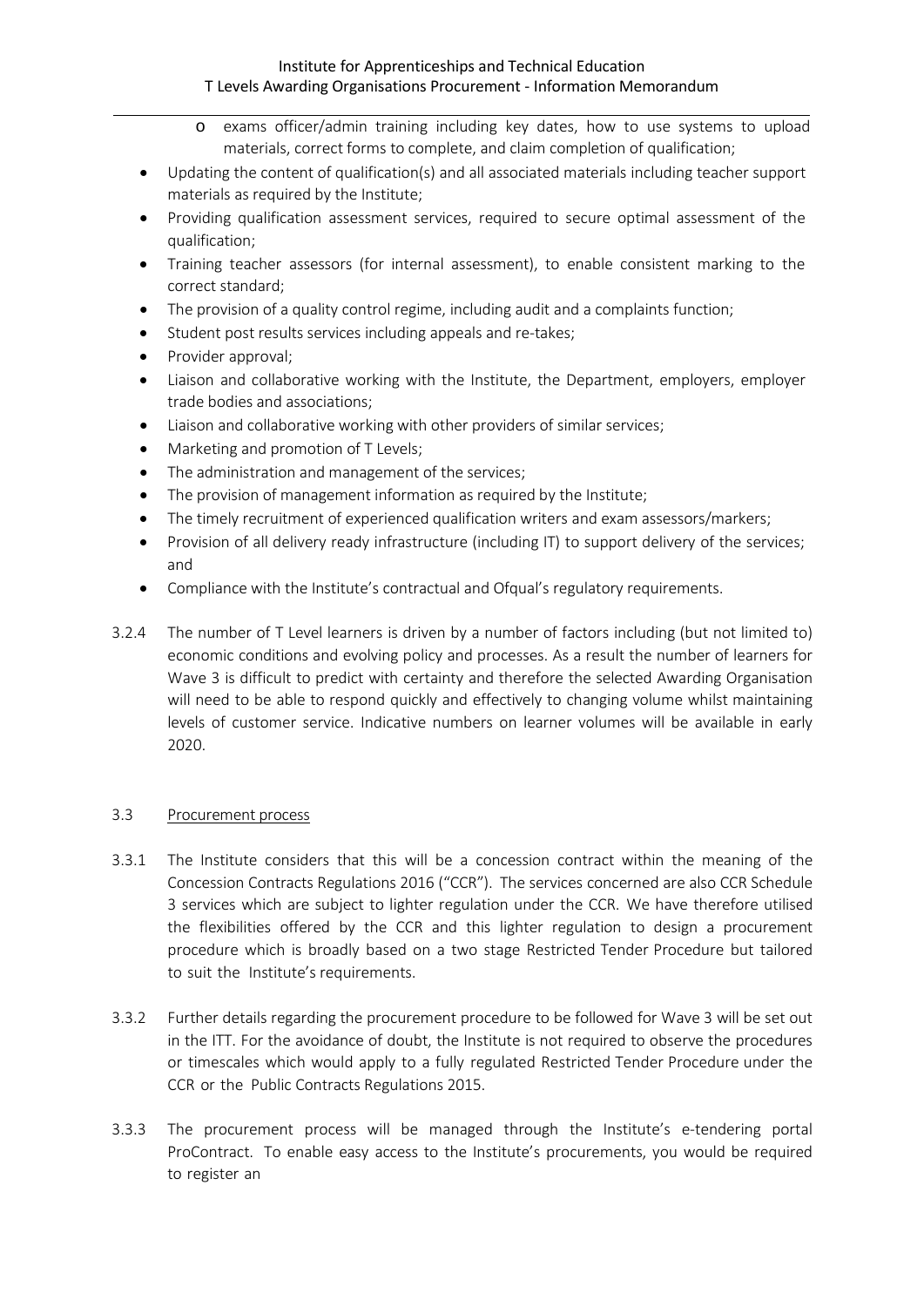- o exams officer/admin training including key dates, how to use systems to upload materials, correct forms to complete, and claim completion of qualification;
- Updating the content of qualification(s) and all associated materials including teacher support materials as required by the Institute;
- Providing qualification assessment services, required to secure optimal assessment of the qualification;
- Training teacher assessors (for internal assessment), to enable consistent marking to the correct standard;
- The provision of a quality control regime, including audit and a complaints function;
- Student post results services including appeals and re-takes;
- Provider approval;
- Liaison and collaborative working with the Institute, the Department, employers, employer trade bodies and associations;
- Liaison and collaborative working with other providers of similar services;
- Marketing and promotion of T Levels;
- The administration and management of the services;
- The provision of management information as required by the Institute;
- The timely recruitment of experienced qualification writers and exam assessors/markers;
- Provision of all delivery ready infrastructure (including IT) to support delivery of the services; and
- Compliance with the Institute's contractual and Ofqual's regulatory requirements.
- 3.2.4 The number of T Level learners is driven by a number of factors including (but not limited to) economic conditions and evolving policy and processes. As a result the number of learners for Wave 3 is difficult to predict with certainty and therefore the selected Awarding Organisation will need to be able to respond quickly and effectively to changing volume whilst maintaining levels of customer service. Indicative numbers on learner volumes will be available in early 2020.

## 3.3 Procurement process

- 3.3.1 The Institute considers that this will be a concession contract within the meaning of the Concession Contracts Regulations 2016 ("CCR"). The services concerned are also CCR Schedule 3 services which are subject to lighter regulation under the CCR. We have therefore utilised the flexibilities offered by the CCR and this lighter regulation to design a procurement procedure which is broadly based on a two stage Restricted Tender Procedure but tailored to suit the Institute's requirements.
- 3.3.2 Further details regarding the procurement procedure to be followed for Wave 3 will be set out in the ITT. For the avoidance of doubt, the Institute is not required to observe the procedures or timescales which would apply to a fully regulated Restricted Tender Procedure under the CCR or the Public Contracts Regulations 2015.
- 3.3.3 The procurement process will be managed through the Institute's e-tendering portal ProContract. To enable easy access to the Institute's procurements, you would be required to register an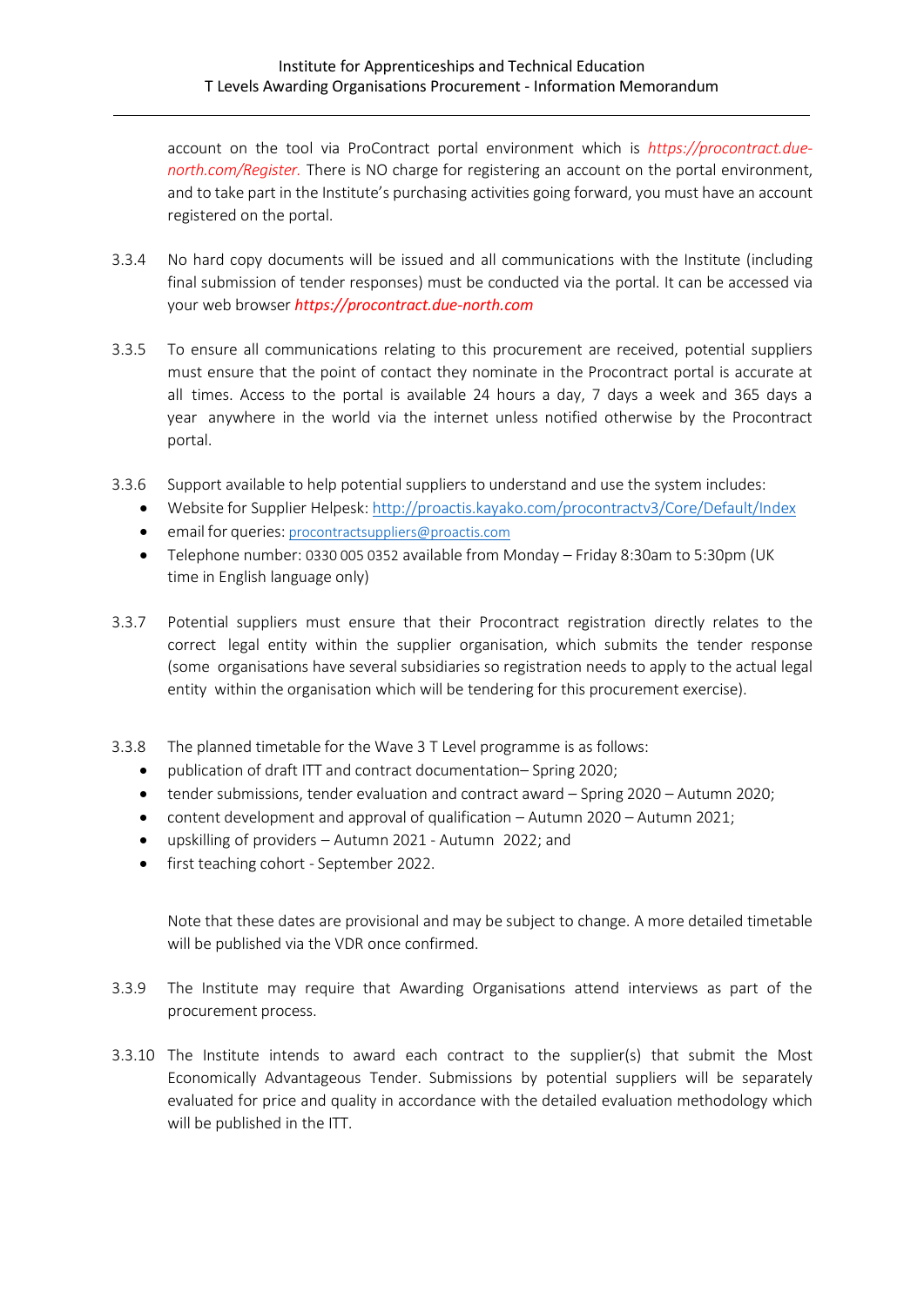account on the tool via ProContract portal environment which is *https://procontract.duenorth.com/Register.* There is NO charge for registering an account on the portal environment, and to take part in the Institute's purchasing activities going forward, you must have an account registered on the portal.

- 3.3.4 No hard copy documents will be issued and all communications with the Institute (including final submission of tender responses) must be conducted via the portal. It can be accessed via your web browser *https://procontract.due-north.com*
- 3.3.5 To ensure all communications relating to this procurement are received, potential suppliers must ensure that the point of contact they nominate in the Procontract portal is accurate at all times. Access to the portal is available 24 hours a day, 7 days a week and 365 days a year anywhere in the world via the internet unless notified otherwise by the Procontract portal.
- 3.3.6 Support available to help potential suppliers to understand and use the system includes:
	- Website for Supplier Helpesk:<http://proactis.kayako.com/procontractv3/Core/Default/Index>
	- email for queries: [procontractsuppliers@proactis.com](mailto:procontractsuppliers@proactis.com)
	- Telephone number: 0330 005 0352 available from Monday Friday 8:30am to 5:30pm (UK time in English language only)
- 3.3.7 Potential suppliers must ensure that their Procontract registration directly relates to the correct legal entity within the supplier organisation, which submits the tender response (some organisations have several subsidiaries so registration needs to apply to the actual legal entity within the organisation which will be tendering for this procurement exercise).
- 3.3.8 The planned timetable for the Wave 3 T Level programme is as follows:
	- publication of draft ITT and contract documentation– Spring 2020;
	- tender submissions, tender evaluation and contract award Spring 2020 Autumn 2020;
	- content development and approval of qualification Autumn 2020 Autumn 2021;
	- upskilling of providers Autumn 2021 Autumn 2022; and
	- first teaching cohort September 2022.

Note that these dates are provisional and may be subject to change. A more detailed timetable will be published via the VDR once confirmed.

- 3.3.9 The Institute may require that Awarding Organisations attend interviews as part of the procurement process.
- 3.3.10 The Institute intends to award each contract to the supplier(s) that submit the Most Economically Advantageous Tender. Submissions by potential suppliers will be separately evaluated for price and quality in accordance with the detailed evaluation methodology which will be published in the ITT.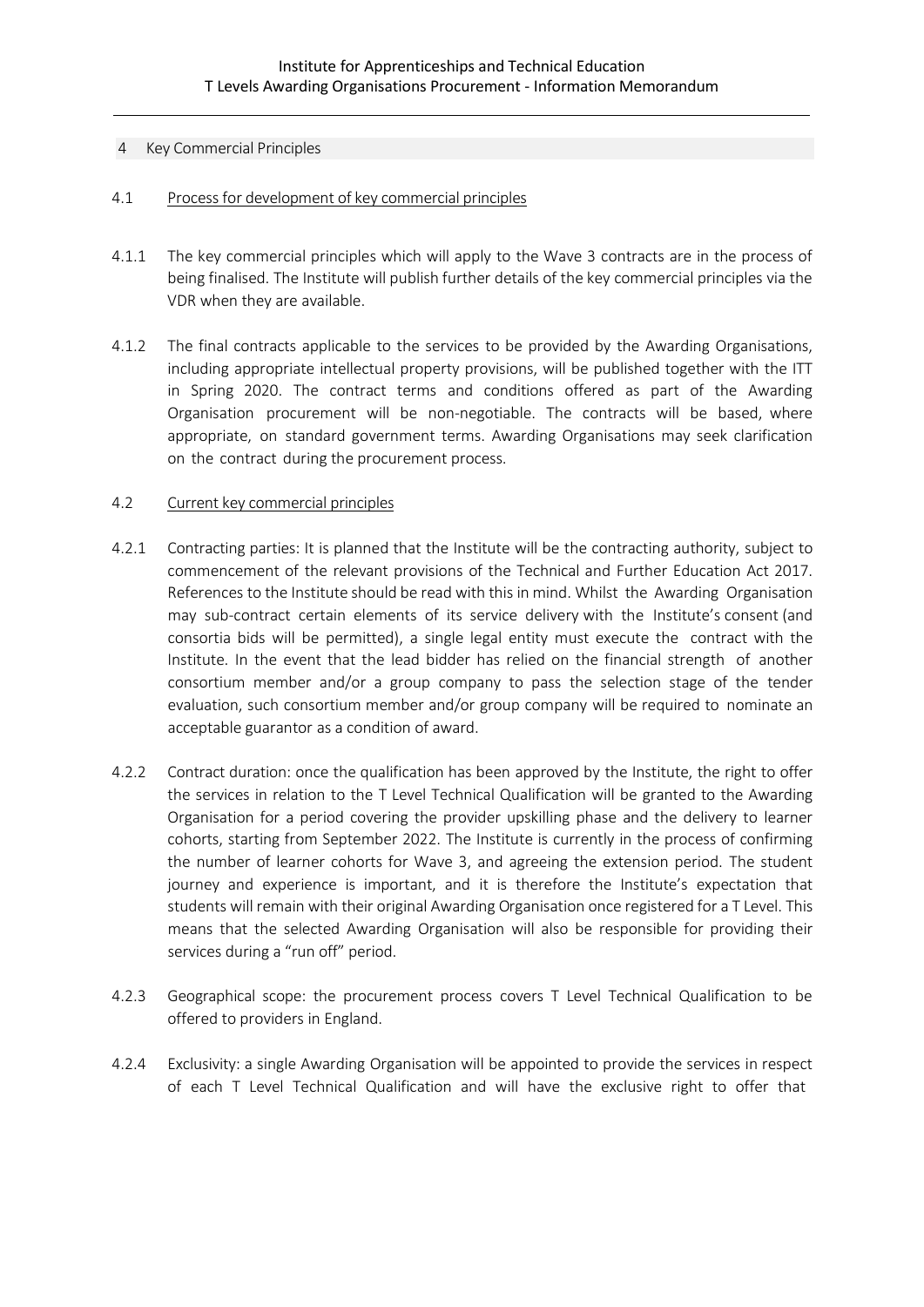#### 4 Key Commercial Principles

#### 4.1 Process for development of key commercial principles

- 4.1.1 The key commercial principles which will apply to the Wave 3 contracts are in the process of being finalised. The Institute will publish further details of the key commercial principles via the VDR when they are available.
- 4.1.2 The final contracts applicable to the services to be provided by the Awarding Organisations, including appropriate intellectual property provisions, will be published together with the ITT in Spring 2020. The contract terms and conditions offered as part of the Awarding Organisation procurement will be non-negotiable. The contracts will be based, where appropriate, on standard government terms. Awarding Organisations may seek clarification on the contract during the procurement process.

#### 4.2 Current key commercial principles

- 4.2.1 Contracting parties: It is planned that the Institute will be the contracting authority, subject to commencement of the relevant provisions of the Technical and Further Education Act 2017. References to the Institute should be read with this in mind. Whilst the Awarding Organisation may sub-contract certain elements of its service delivery with the Institute's consent (and consortia bids will be permitted), a single legal entity must execute the contract with the Institute. In the event that the lead bidder has relied on the financial strength of another consortium member and/or a group company to pass the selection stage of the tender evaluation, such consortium member and/or group company will be required to nominate an acceptable guarantor as a condition of award.
- 4.2.2 Contract duration: once the qualification has been approved by the Institute, the right to offer the services in relation to the T Level Technical Qualification will be granted to the Awarding Organisation for a period covering the provider upskilling phase and the delivery to learner cohorts, starting from September 2022. The Institute is currently in the process of confirming the number of learner cohorts for Wave 3, and agreeing the extension period. The student journey and experience is important, and it is therefore the Institute's expectation that students will remain with their original Awarding Organisation once registered for a T Level. This means that the selected Awarding Organisation will also be responsible for providing their services during a "run off" period.
- 4.2.3 Geographical scope: the procurement process covers T Level Technical Qualification to be offered to providers in England.
- 4.2.4 Exclusivity: a single Awarding Organisation will be appointed to provide the services in respect of each T Level Technical Qualification and will have the exclusive right to offer that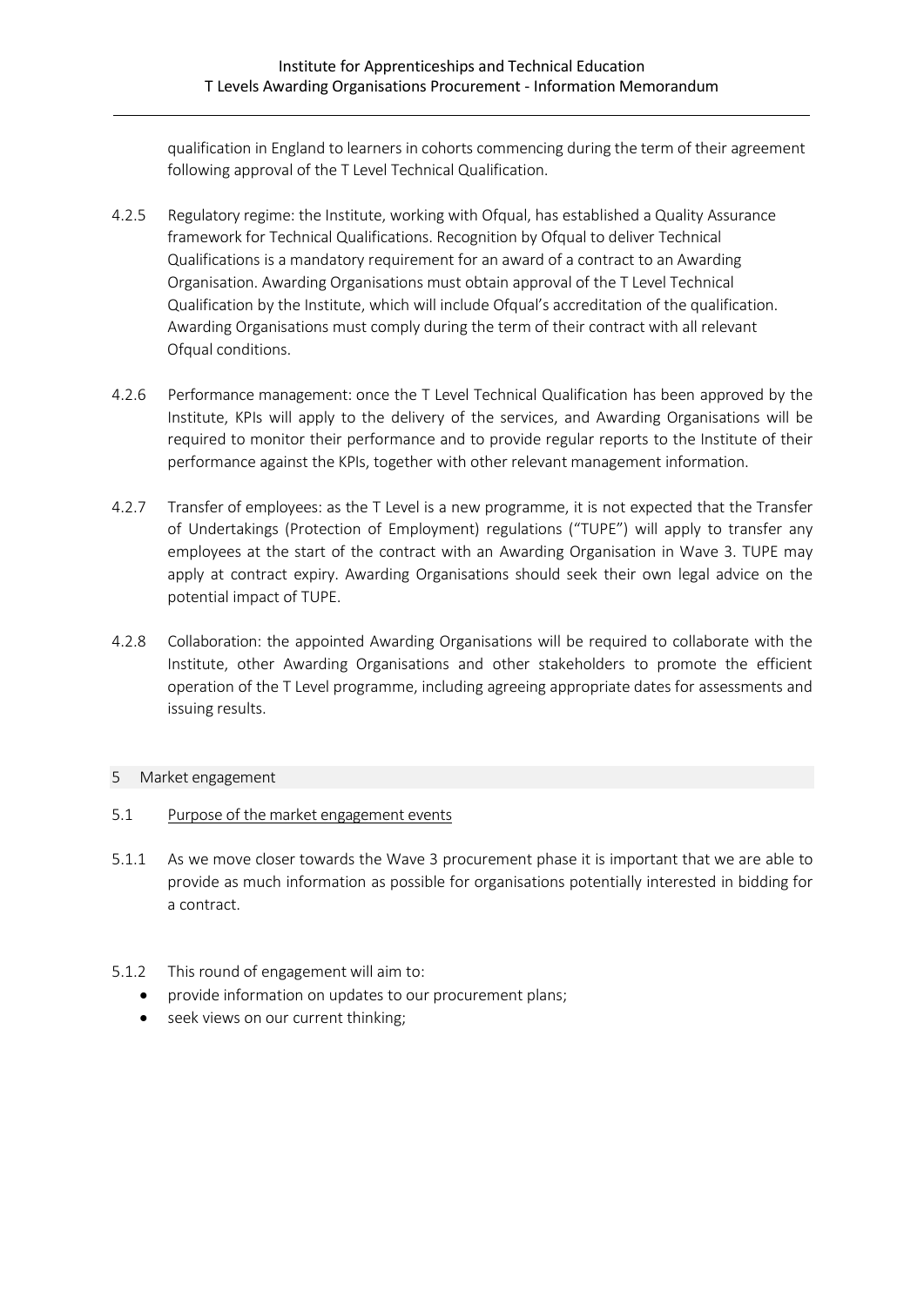qualification in England to learners in cohorts commencing during the term of their agreement following approval of the T Level Technical Qualification.

- 4.2.5 Regulatory regime: the Institute, working with Ofqual, has established a Quality Assurance framework for Technical Qualifications. Recognition by Ofqual to deliver Technical Qualifications is a mandatory requirement for an award of a contract to an Awarding Organisation. Awarding Organisations must obtain approval of the T Level Technical Qualification by the Institute, which will include Ofqual's accreditation of the qualification. Awarding Organisations must comply during the term of their contract with all relevant Ofqual conditions.
- 4.2.6 Performance management: once the T Level Technical Qualification has been approved by the Institute, KPIs will apply to the delivery of the services, and Awarding Organisations will be required to monitor their performance and to provide regular reports to the Institute of their performance against the KPIs, together with other relevant management information.
- 4.2.7 Transfer of employees: as the T Level is a new programme, it is not expected that the Transfer of Undertakings (Protection of Employment) regulations ("TUPE") will apply to transfer any employees at the start of the contract with an Awarding Organisation in Wave 3. TUPE may apply at contract expiry. Awarding Organisations should seek their own legal advice on the potential impact of TUPE.
- 4.2.8 Collaboration: the appointed Awarding Organisations will be required to collaborate with the Institute, other Awarding Organisations and other stakeholders to promote the efficient operation of the T Level programme, including agreeing appropriate dates for assessments and issuing results.

#### 5 Market engagement

- 5.1 Purpose of the market engagement events
- 5.1.1 As we move closer towards the Wave 3 procurement phase it is important that we are able to provide as much information as possible for organisations potentially interested in bidding for a contract.
- 5.1.2 This round of engagement will aim to:
	- provide information on updates to our procurement plans;
	- seek views on our current thinking;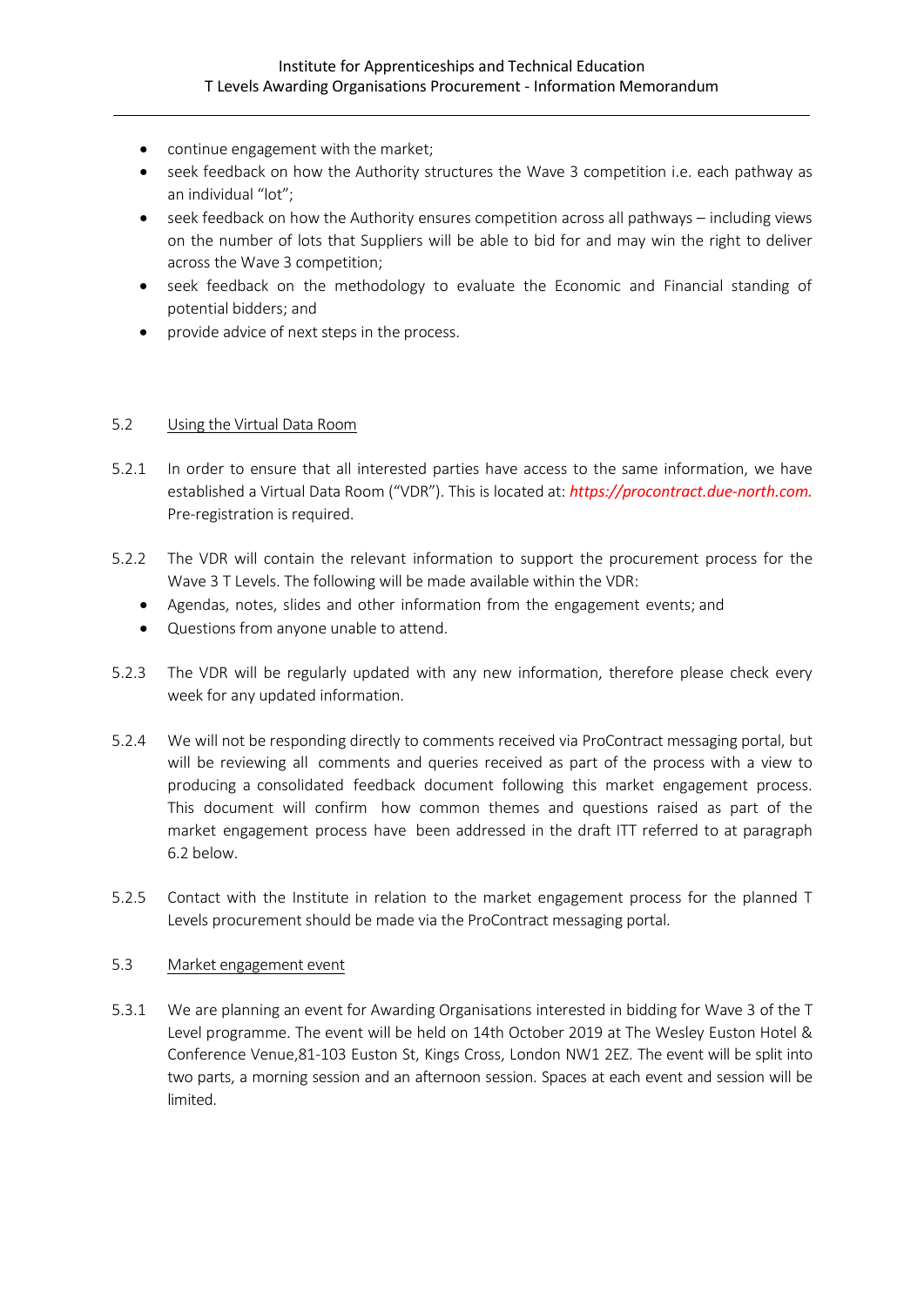- continue engagement with the market;
- seek feedback on how the Authority structures the Wave 3 competition i.e. each pathway as an individual "lot";
- seek feedback on how the Authority ensures competition across all pathways including views on the number of lots that Suppliers will be able to bid for and may win the right to deliver across the Wave 3 competition;
- seek feedback on the methodology to evaluate the Economic and Financial standing of potential bidders; and
- provide advice of next steps in the process.

# 5.2 Using the Virtual Data Room

- 5.2.1 In order to ensure that all interested parties have access to the same information, we have established a Virtual Data Room ("VDR"). This is located at: *https://procontract.due-north.com.* Pre-registration is required.
- 5.2.2 The VDR will contain the relevant information to support the procurement process for the Wave 3 T Levels. The following will be made available within the VDR:
	- Agendas, notes, slides and other information from the engagement events; and
	- Questions from anyone unable to attend.
- 5.2.3 The VDR will be regularly updated with any new information, therefore please check every week for any updated information.
- 5.2.4 We will not be responding directly to comments received via ProContract messaging portal, but will be reviewing all comments and queries received as part of the process with a view to producing a consolidated feedback document following this market engagement process. This document will confirm how common themes and questions raised as part of the market engagement process have been addressed in the draft ITT referred to at paragraph 6.2 below.
- 5.2.5 Contact with the Institute in relation to the market engagement process for the planned T Levels procurement should be made via the ProContract messaging portal.

## 5.3 Market engagement event

5.3.1 We are planning an event for Awarding Organisations interested in bidding for Wave 3 of the T Level programme. The event will be held on 14th October 2019 at The Wesley Euston Hotel & Conference Venue,81-103 Euston St, Kings Cross, London NW1 2EZ. The event will be split into two parts, a morning session and an afternoon session. Spaces at each event and session will be limited.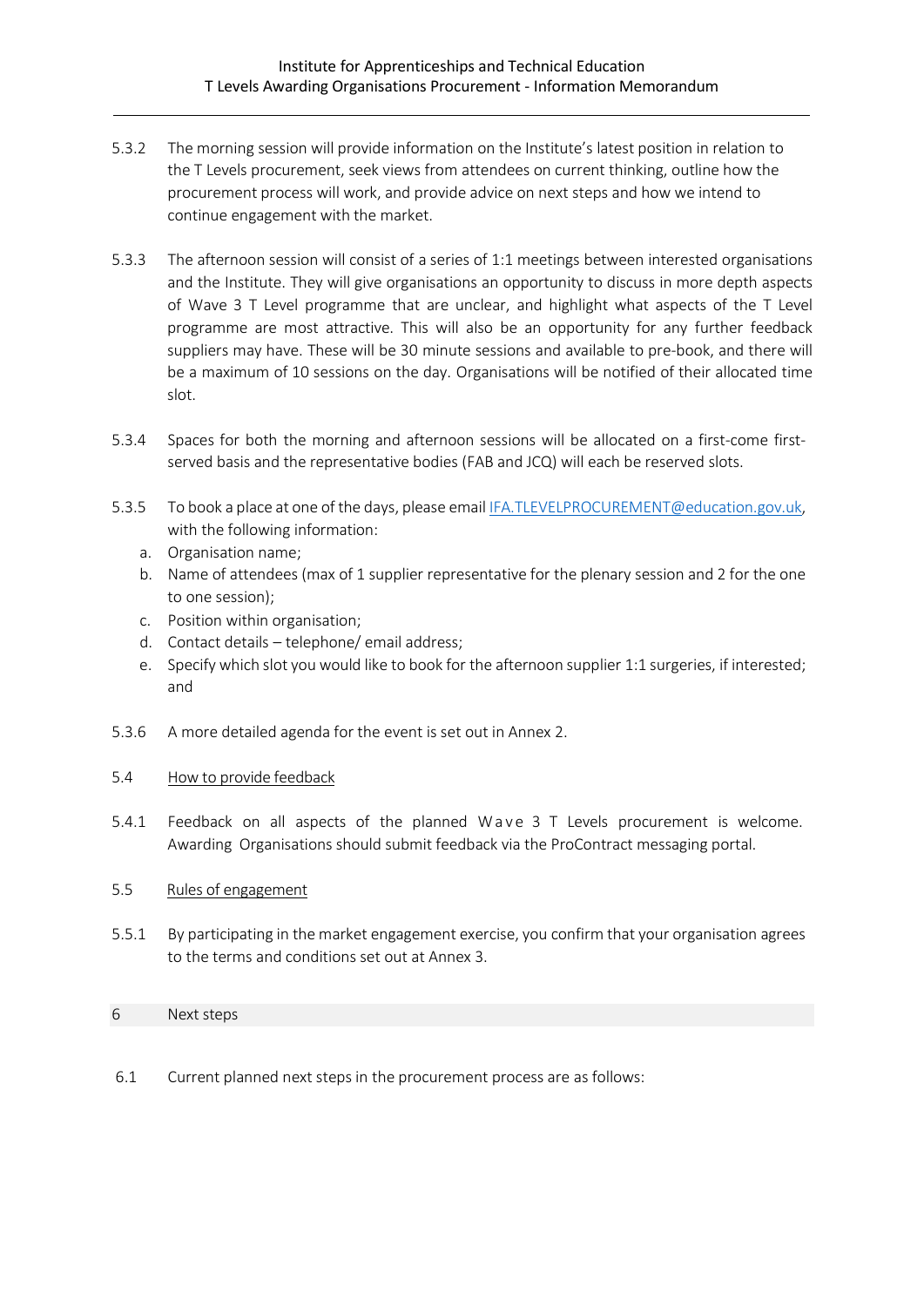- 5.3.2 The morning session will provide information on the Institute's latest position in relation to the T Levels procurement, seek views from attendees on current thinking, outline how the procurement process will work, and provide advice on next steps and how we intend to continue engagement with the market.
- 5.3.3 The afternoon session will consist of a series of 1:1 meetings between interested organisations and the Institute. They will give organisations an opportunity to discuss in more depth aspects of Wave 3 T Level programme that are unclear, and highlight what aspects of the T Level programme are most attractive. This will also be an opportunity for any further feedback suppliers may have. These will be 30 minute sessions and available to pre-book, and there will be a maximum of 10 sessions on the day. Organisations will be notified of their allocated time slot.
- 5.3.4 Spaces for both the morning and afternoon sessions will be allocated on a first-come firstserved basis and the representative bodies (FAB and JCQ) will each be reserved slots.
- 5.3.5 To book a place at one of the days, please email [IFA.TLEVELPROCUREMENT@education.gov.uk,](mailto:IFA.TLEVELPROCUREMENT@education.gov.uk) with the following information:
	- a. Organisation name;
	- b. Name of attendees (max of 1 supplier representative for the plenary session and 2 for the one to one session);
	- c. Position within organisation;
	- d. Contact details telephone/ email address;
	- e. Specify which slot you would like to book for the afternoon supplier 1:1 surgeries, if interested; and
- 5.3.6 A more detailed agenda for the event is set out in Annex 2.

#### 5.4 How to provide feedback

5.4.1 Feedback on all aspects of the planned Wave 3 T Levels procurement is welcome. Awarding Organisations should submit feedback via the ProContract messaging portal.

#### 5.5 Rules of engagement

5.5.1 By participating in the market engagement exercise, you confirm that your organisation agrees to the terms and conditions set out at Annex 3.

#### 6 Next steps

6.1 Current planned next steps in the procurement process are as follows: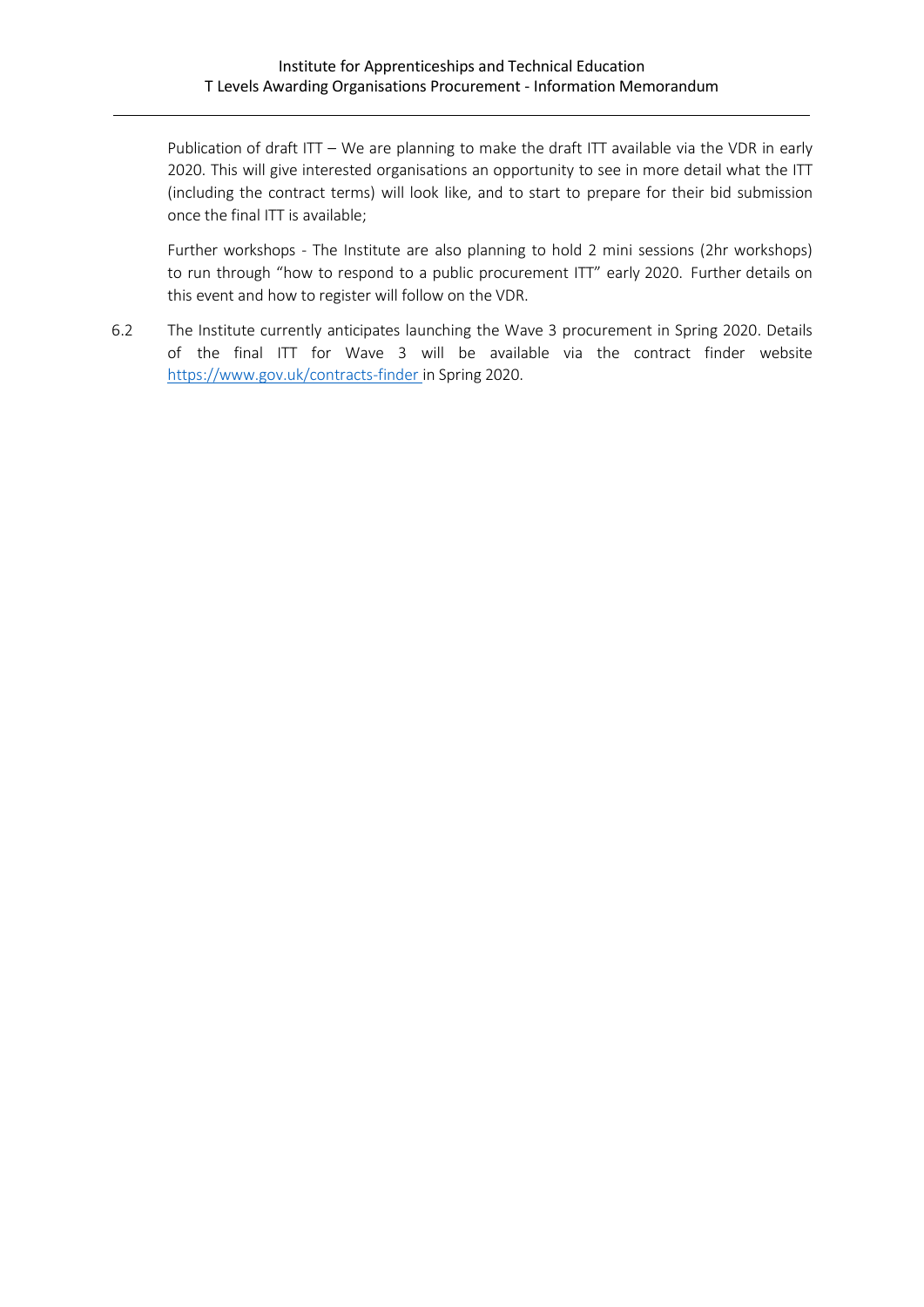Publication of draft ITT – We are planning to make the draft ITT available via the VDR in early 2020. This will give interested organisations an opportunity to see in more detail what the ITT (including the contract terms) will look like, and to start to prepare for their bid submission once the final ITT is available;

Further workshops - The Institute are also planning to hold 2 mini sessions (2hr workshops) to run through "how to respond to a public procurement ITT" early 2020. Further details on this event and how to register will follow on the VDR.

6.2 The Institute currently anticipates launching the Wave 3 procurement in Spring 2020. Details of the final ITT for Wave 3 will be available via the contract finder website <https://www.gov.uk/contracts-finder> in Spring 2020.